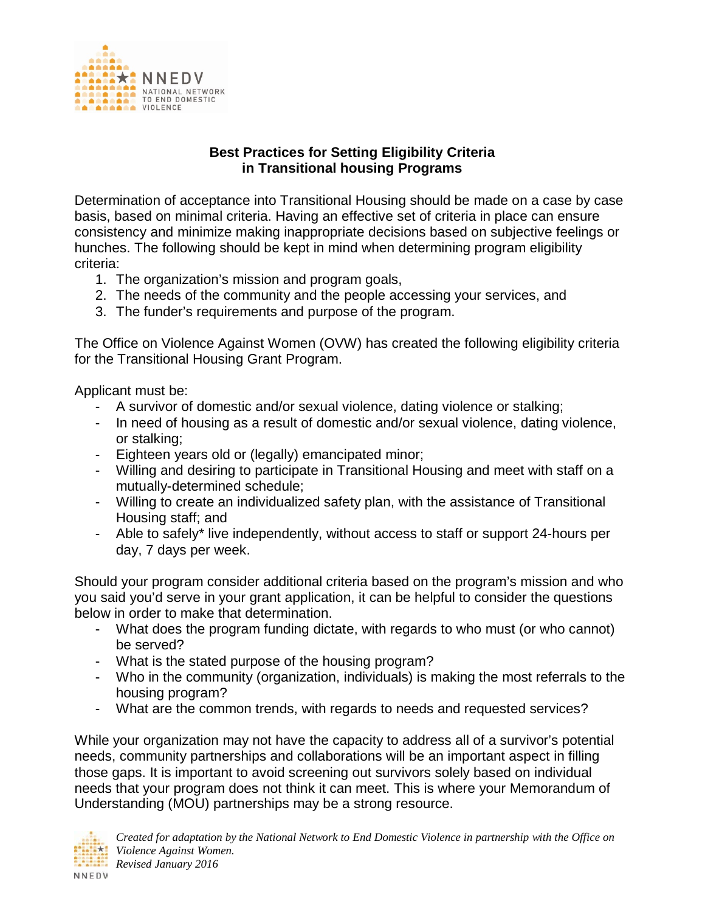

## **Best Practices for Setting Eligibility Criteria in Transitional housing Programs**

Determination of acceptance into Transitional Housing should be made on a case by case basis, based on minimal criteria. Having an effective set of criteria in place can ensure consistency and minimize making inappropriate decisions based on subjective feelings or hunches. The following should be kept in mind when determining program eligibility criteria:

- 1. The organization's mission and program goals,
- 2. The needs of the community and the people accessing your services, and
- 3. The funder's requirements and purpose of the program.

The Office on Violence Against Women (OVW) has created the following eligibility criteria for the Transitional Housing Grant Program.

Applicant must be:

- A survivor of domestic and/or sexual violence, dating violence or stalking;
- In need of housing as a result of domestic and/or sexual violence, dating violence, or stalking;
- Eighteen years old or (legally) emancipated minor;
- Willing and desiring to participate in Transitional Housing and meet with staff on a mutually-determined schedule;
- Willing to create an individualized safety plan, with the assistance of Transitional Housing staff; and
- Able to safely\* live independently, without access to staff or support 24-hours per day, 7 days per week.

Should your program consider additional criteria based on the program's mission and who you said you'd serve in your grant application, it can be helpful to consider the questions below in order to make that determination.

- What does the program funding dictate, with regards to who must (or who cannot) be served?
- What is the stated purpose of the housing program?
- Who in the community (organization, individuals) is making the most referrals to the housing program?
- What are the common trends, with regards to needs and requested services?

While your organization may not have the capacity to address all of a survivor's potential needs, community partnerships and collaborations will be an important aspect in filling those gaps. It is important to avoid screening out survivors solely based on individual needs that your program does not think it can meet. This is where your Memorandum of Understanding (MOU) partnerships may be a strong resource.

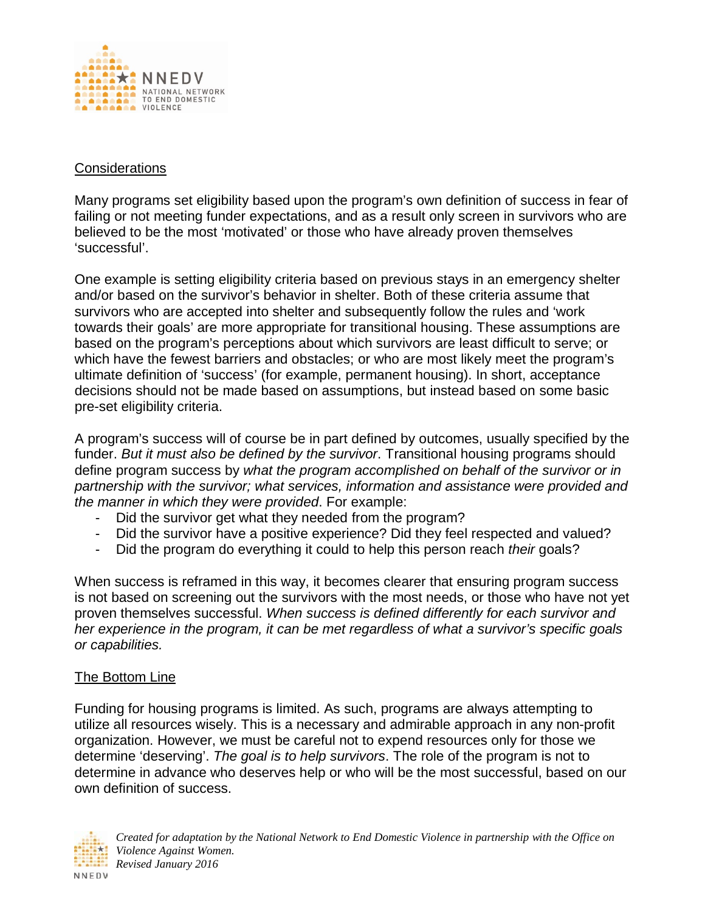

## **Considerations**

Many programs set eligibility based upon the program's own definition of success in fear of failing or not meeting funder expectations, and as a result only screen in survivors who are believed to be the most 'motivated' or those who have already proven themselves 'successful'.

One example is setting eligibility criteria based on previous stays in an emergency shelter and/or based on the survivor's behavior in shelter. Both of these criteria assume that survivors who are accepted into shelter and subsequently follow the rules and 'work towards their goals' are more appropriate for transitional housing. These assumptions are based on the program's perceptions about which survivors are least difficult to serve; or which have the fewest barriers and obstacles; or who are most likely meet the program's ultimate definition of 'success' (for example, permanent housing). In short, acceptance decisions should not be made based on assumptions, but instead based on some basic pre-set eligibility criteria.

A program's success will of course be in part defined by outcomes, usually specified by the funder. *But it must also be defined by the survivor*. Transitional housing programs should define program success by *what the program accomplished on behalf of the survivor or in partnership with the survivor; what services, information and assistance were provided and the manner in which they were provided*. For example:

- Did the survivor get what they needed from the program?
- Did the survivor have a positive experience? Did they feel respected and valued?
- Did the program do everything it could to help this person reach *their* goals?

When success is reframed in this way, it becomes clearer that ensuring program success is not based on screening out the survivors with the most needs, or those who have not yet proven themselves successful. *When success is defined differently for each survivor and her experience in the program, it can be met regardless of what a survivor's specific goals or capabilities.*

## The Bottom Line

Funding for housing programs is limited. As such, programs are always attempting to utilize all resources wisely. This is a necessary and admirable approach in any non-profit organization. However, we must be careful not to expend resources only for those we determine 'deserving'. *The goal is to help survivors*. The role of the program is not to determine in advance who deserves help or who will be the most successful, based on our own definition of success.